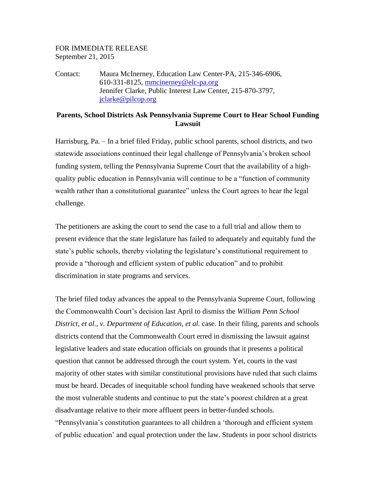## FOR IMMEDIATE RELEASE September 21, 2015

Contact: Maura McInerney, Education Law Center-PA, 215-346-6906, 610-331-8125, [mmcinerney@elc-pa.org](mailto:mmcinerney@elc-pa.org) Jennifer Clarke, Public Interest Law Center, 215-870-3797, [jclarke@pilcop.org](mailto:jclarke@pilcop.org)

## **Parents, School Districts Ask Pennsylvania Supreme Court to Hear School Funding Lawsuit**

Harrisburg, Pa. – In a brief filed Friday, public school parents, school districts, and two statewide associations continued their legal challenge of Pennsylvania's broken school funding system, telling the Pennsylvania Supreme Court that the availability of a highquality public education in Pennsylvania will continue to be a "function of community wealth rather than a constitutional guarantee" unless the Court agrees to hear the legal challenge.

The petitioners are asking the court to send the case to a full trial and allow them to present evidence that the state legislature has failed to adequately and equitably fund the state's public schools, thereby violating the legislature's constitutional requirement to provide a "thorough and efficient system of public education" and to prohibit discrimination in state programs and services.

The brief filed today advances the appeal to the Pennsylvania Supreme Court, following the Commonwealth Court's decision last April to dismiss the *William Penn School District, et al., v. Department of Education, et al.* case. In their filing, parents and schools districts contend that the Commonwealth Court erred in dismissing the lawsuit against legislative leaders and state education officials on grounds that it presents a political question that cannot be addressed through the court system. Yet, courts in the vast majority of other states with similar constitutional provisions have ruled that such claims must be heard. Decades of inequitable school funding have weakened schools that serve the most vulnerable students and continue to put the state's poorest children at a great disadvantage relative to their more affluent peers in better-funded schools. "Pennsylvania's constitution guarantees to all children a 'thorough and efficient system of public education' and equal protection under the law. Students in poor school districts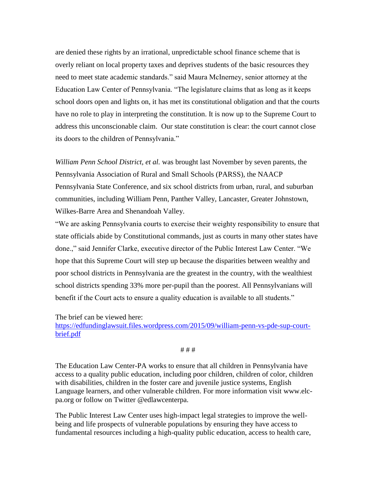are denied these rights by an irrational, unpredictable school finance scheme that is overly reliant on local property taxes and deprives students of the basic resources they need to meet state academic standards." said Maura McInerney, senior attorney at the Education Law Center of Pennsylvania. "The legislature claims that as long as it keeps school doors open and lights on, it has met its constitutional obligation and that the courts have no role to play in interpreting the constitution. It is now up to the Supreme Court to address this unconscionable claim. Our state constitution is clear: the court cannot close its doors to the children of Pennsylvania."

*William Penn School District, et al.* was brought last November by seven parents, the Pennsylvania Association of Rural and Small Schools (PARSS), the NAACP Pennsylvania State Conference, and six school districts from urban, rural, and suburban communities, including William Penn, Panther Valley, Lancaster, Greater Johnstown, Wilkes-Barre Area and Shenandoah Valley.

"We are asking Pennsylvania courts to exercise their weighty responsibility to ensure that state officials abide by Constitutional commands, just as courts in many other states have done.," said Jennifer Clarke, executive director of the Public Interest Law Center. "We hope that this Supreme Court will step up because the disparities between wealthy and poor school districts in Pennsylvania are the greatest in the country, with the wealthiest school districts spending 33% more per-pupil than the poorest. All Pennsylvanians will benefit if the Court acts to ensure a quality education is available to all students."

The brief can be viewed here:

[https://edfundinglawsuit.files.wordpress.com/2015/09/william-penn-vs-pde-sup-court](https://edfundinglawsuit.files.wordpress.com/2015/09/william-penn-vs-pde-sup-court-brief.pdf)[brief.pdf](https://edfundinglawsuit.files.wordpress.com/2015/09/william-penn-vs-pde-sup-court-brief.pdf)

# # #

The Education Law Center-PA works to ensure that all children in Pennsylvania have access to a quality public education, including poor children, children of color, children with disabilities, children in the foster care and juvenile justice systems, English Language learners, and other vulnerable children. For more information visit [www.elc](http://www.elc-pa.org/)[pa.org](http://www.elc-pa.org/) or follow on Twitter @edlawcenterpa.

The Public Interest Law Center uses high-impact legal strategies to improve the wellbeing and life prospects of vulnerable populations by ensuring they have access to fundamental resources including a high-quality public education, access to health care,